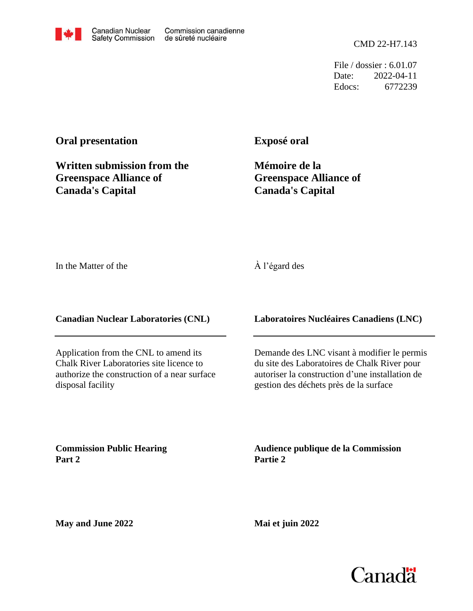File / dossier : 6.01.07 Date: 2022-04-11 Edocs: 6772239

## **Oral presentation**

**Written submission from the Greenspace Alliance of Canada's Capital**

**Exposé oral**

**Mémoire de la Greenspace Alliance of Canada's Capital**

In the Matter of the

## À l'égard des

**Canadian Nuclear Laboratories (CNL)**

Application from the CNL to amend its Chalk River Laboratories site licence to authorize the construction of a near surface disposal facility

**Laboratoires Nucléaires Canadiens (LNC)**

Demande des LNC visant à modifier le permis du site des Laboratoires de Chalk River pour autoriser la construction d'une installation de gestion des déchets près de la surface

**Commission Public Hearing Part 2**

**Audience publique de la Commission Partie 2**

**May and June 2022**

**Mai et juin 2022**

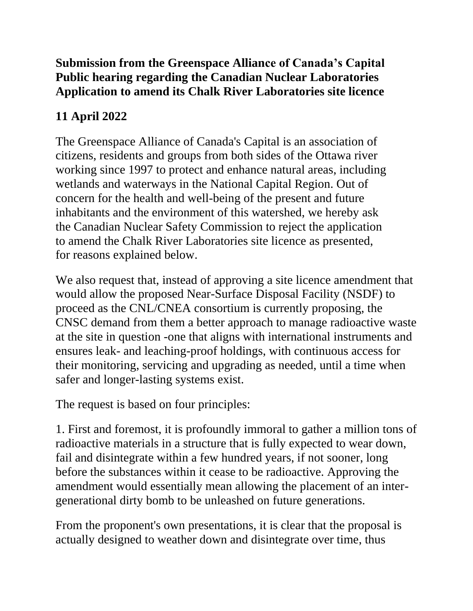## **Submission from the Greenspace Alliance of Canada's Capital Public hearing regarding the Canadian Nuclear Laboratories Application to amend its Chalk River Laboratories site licence**

## **11 April 2022**

The Greenspace Alliance of Canada's Capital is an association of citizens, residents and groups from both sides of the Ottawa river working since 1997 to protect and enhance natural areas, including wetlands and waterways in the National Capital Region. Out of concern for the health and well-being of the present and future inhabitants and the environment of this watershed, we hereby ask the Canadian Nuclear Safety Commission to reject the application to amend the Chalk River Laboratories site licence as presented, for reasons explained below.

We also request that, instead of approving a site licence amendment that would allow the proposed Near-Surface Disposal Facility (NSDF) to proceed as the CNL/CNEA consortium is currently proposing, the CNSC demand from them a better approach to manage radioactive waste at the site in question -one that aligns with international instruments and ensures leak- and leaching-proof holdings, with continuous access for their monitoring, servicing and upgrading as needed, until a time when safer and longer-lasting systems exist.

The request is based on four principles:

1. First and foremost, it is profoundly immoral to gather a million tons of radioactive materials in a structure that is fully expected to wear down, fail and disintegrate within a few hundred years, if not sooner, long before the substances within it cease to be radioactive. Approving the amendment would essentially mean allowing the placement of an intergenerational dirty bomb to be unleashed on future generations.

From the proponent's own presentations, it is clear that the proposal is actually designed to weather down and disintegrate over time, thus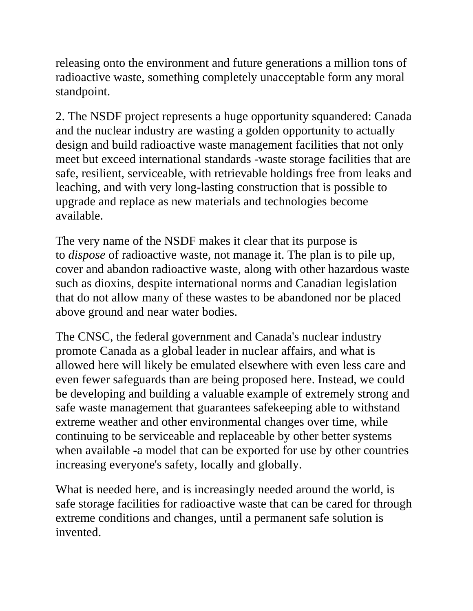releasing onto the environment and future generations a million tons of radioactive waste, something completely unacceptable form any moral standpoint.

2. The NSDF project represents a huge opportunity squandered: Canada and the nuclear industry are wasting a golden opportunity to actually design and build radioactive waste management facilities that not only meet but exceed international standards -waste storage facilities that are safe, resilient, serviceable, with retrievable holdings free from leaks and leaching, and with very long-lasting construction that is possible to upgrade and replace as new materials and technologies become available.

The very name of the NSDF makes it clear that its purpose is to *dispose* of radioactive waste, not manage it. The plan is to pile up, cover and abandon radioactive waste, along with other hazardous waste such as dioxins, despite international norms and Canadian legislation that do not allow many of these wastes to be abandoned nor be placed above ground and near water bodies.

The CNSC, the federal government and Canada's nuclear industry promote Canada as a global leader in nuclear affairs, and what is allowed here will likely be emulated elsewhere with even less care and even fewer safeguards than are being proposed here. Instead, we could be developing and building a valuable example of extremely strong and safe waste management that guarantees safekeeping able to withstand extreme weather and other environmental changes over time, while continuing to be serviceable and replaceable by other better systems when available -a model that can be exported for use by other countries increasing everyone's safety, locally and globally.

What is needed here, and is increasingly needed around the world, is safe storage facilities for radioactive waste that can be cared for through extreme conditions and changes, until a permanent safe solution is invented.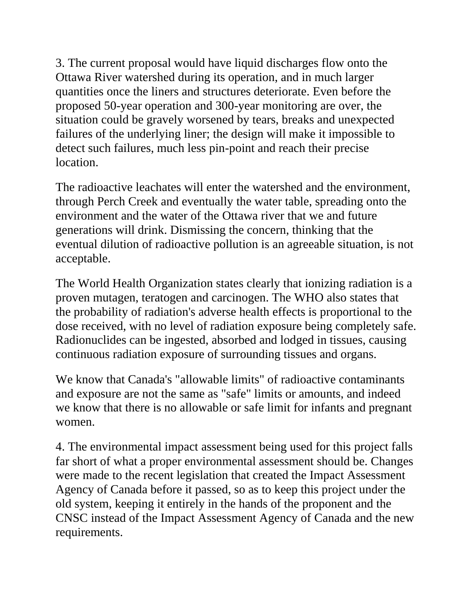3. The current proposal would have liquid discharges flow onto the Ottawa River watershed during its operation, and in much larger quantities once the liners and structures deteriorate. Even before the proposed 50-year operation and 300-year monitoring are over, the situation could be gravely worsened by tears, breaks and unexpected failures of the underlying liner; the design will make it impossible to detect such failures, much less pin-point and reach their precise location.

The radioactive leachates will enter the watershed and the environment, through Perch Creek and eventually the water table, spreading onto the environment and the water of the Ottawa river that we and future generations will drink. Dismissing the concern, thinking that the eventual dilution of radioactive pollution is an agreeable situation, is not acceptable.

The World Health Organization states clearly that ionizing radiation is a proven mutagen, teratogen and carcinogen. The WHO also states that the probability of radiation's adverse health effects is proportional to the dose received, with no level of radiation exposure being completely safe. Radionuclides can be ingested, absorbed and lodged in tissues, causing continuous radiation exposure of surrounding tissues and organs.

We know that Canada's "allowable limits" of radioactive contaminants and exposure are not the same as "safe" limits or amounts, and indeed we know that there is no allowable or safe limit for infants and pregnant women.

4. The environmental impact assessment being used for this project falls far short of what a proper environmental assessment should be. Changes were made to the recent legislation that created the Impact Assessment Agency of Canada before it passed, so as to keep this project under the old system, keeping it entirely in the hands of the proponent and the CNSC instead of the Impact Assessment Agency of Canada and the new requirements.